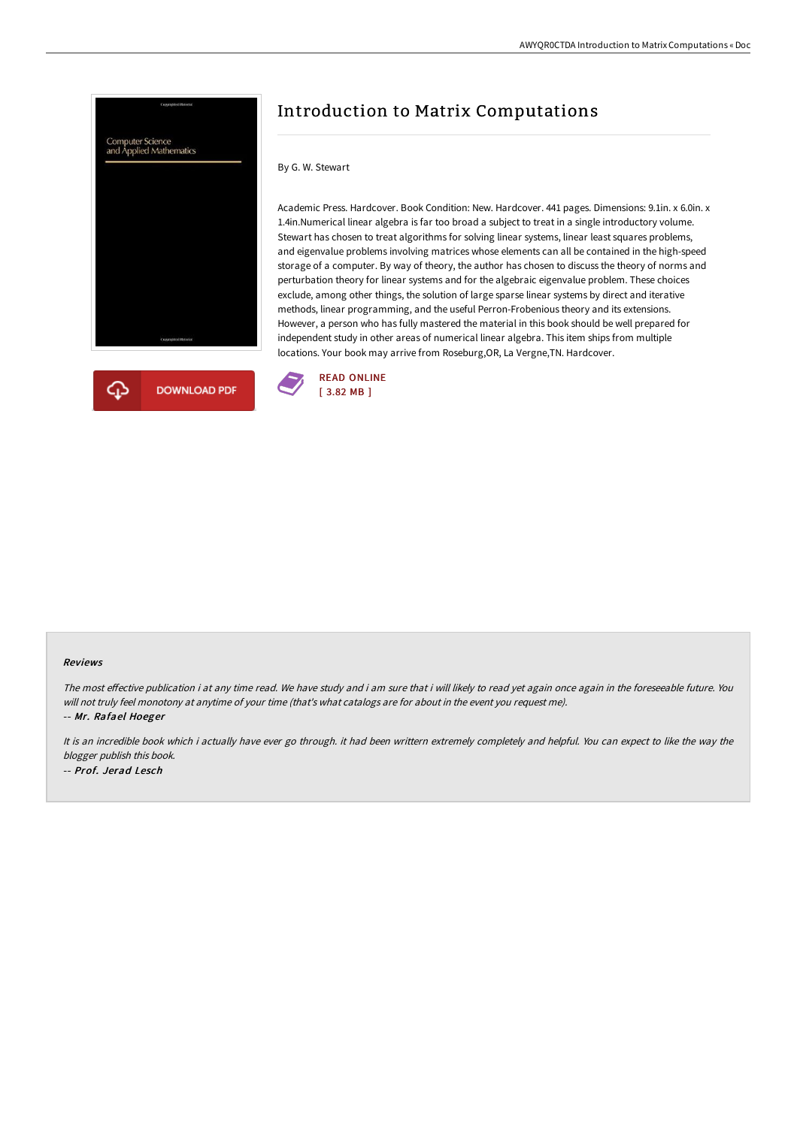



## Introduction to Matrix Computations

## By G. W. Stewart

Academic Press. Hardcover. Book Condition: New. Hardcover. 441 pages. Dimensions: 9.1in. x 6.0in. x 1.4in.Numerical linear algebra is far too broad a subject to treat in a single introductory volume. Stewart has chosen to treat algorithms for solving linear systems, linear least squares problems, and eigenvalue problems involving matrices whose elements can all be contained in the high-speed storage of a computer. By way of theory, the author has chosen to discuss the theory of norms and perturbation theory for linear systems and for the algebraic eigenvalue problem. These choices exclude, among other things, the solution of large sparse linear systems by direct and iterative methods, linear programming, and the useful Perron-Frobenious theory and its extensions. However, a person who has fully mastered the material in this book should be well prepared for independent study in other areas of numerical linear algebra. This item ships from multiple locations. Your book may arrive from Roseburg,OR, La Vergne,TN. Hardcover.



## Reviews

The most effective publication i at any time read. We have study and i am sure that i will likely to read yet again once again in the foreseeable future. You will not truly feel monotony at anytime of your time (that's what catalogs are for about in the event you request me).

-- Mr. Rafael Hoeger

It is an incredible book which i actually have ever go through. it had been writtern extremely completely and helpful. You can expect to like the way the blogger publish this book. -- Prof. Jerad Lesch